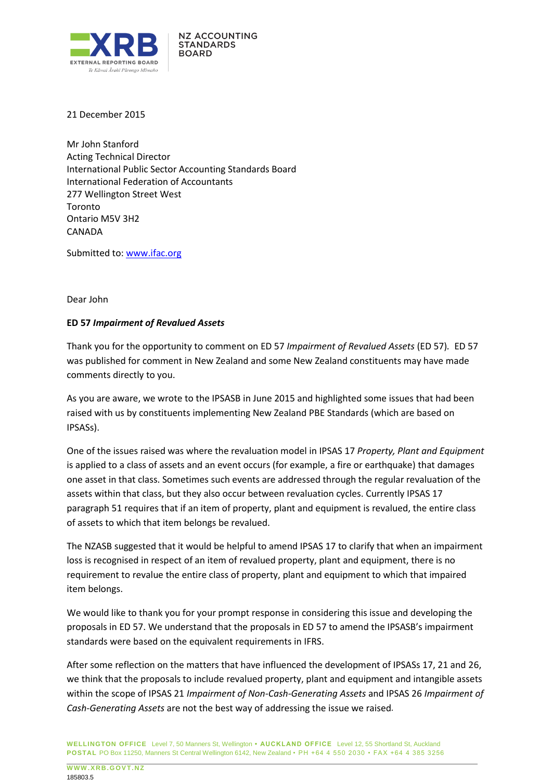

21 December 2015

Mr John Stanford Acting Technical Director International Public Sector Accounting Standards Board International Federation of Accountants 277 Wellington Street West Toronto Ontario M5V 3H2 CANADA

Submitted to: [www.ifac.org](http://www.ifac.org/) 

Dear John

## **ED 57** *Impairment of Revalued Assets*

Thank you for the opportunity to comment on ED 57 *Impairment of Revalued Assets* (ED 57)*.* ED 57 was published for comment in New Zealand and some New Zealand constituents may have made comments directly to you.

As you are aware, we wrote to the IPSASB in June 2015 and highlighted some issues that had been raised with us by constituents implementing New Zealand PBE Standards (which are based on IPSASs).

One of the issues raised was where the revaluation model in IPSAS 17 *Property, Plant and Equipment* is applied to a class of assets and an event occurs (for example, a fire or earthquake) that damages one asset in that class. Sometimes such events are addressed through the regular revaluation of the assets within that class, but they also occur between revaluation cycles. Currently IPSAS 17 paragraph 51 requires that if an item of property, plant and equipment is revalued, the entire class of assets to which that item belongs be revalued.

The NZASB suggested that it would be helpful to amend IPSAS 17 to clarify that when an impairment loss is recognised in respect of an item of revalued property, plant and equipment, there is no requirement to revalue the entire class of property, plant and equipment to which that impaired item belongs.

We would like to thank you for your prompt response in considering this issue and developing the proposals in ED 57. We understand that the proposals in ED 57 to amend the IPSASB's impairment standards were based on the equivalent requirements in IFRS.

After some reflection on the matters that have influenced the development of IPSASs 17, 21 and 26, we think that the proposals to include revalued property, plant and equipment and intangible assets within the scope of IPSAS 21 *Impairment of Non-Cash-Generating Assets* and IPSAS 26 *Impairment of Cash-Generating Assets* are not the best way of addressing the issue we raised*.*

**WELLINGTON OFFICE** Level 7, 50 Manners St, Wellington **• AUCKLAND OFFICE** Level 12, 55 Shortland St, Auckland **POSTAL** PO Box 11250, Manners St Central Wellington 6142, New Zealand • PH +64 4 550 2030 • FAX +64 4 385 3256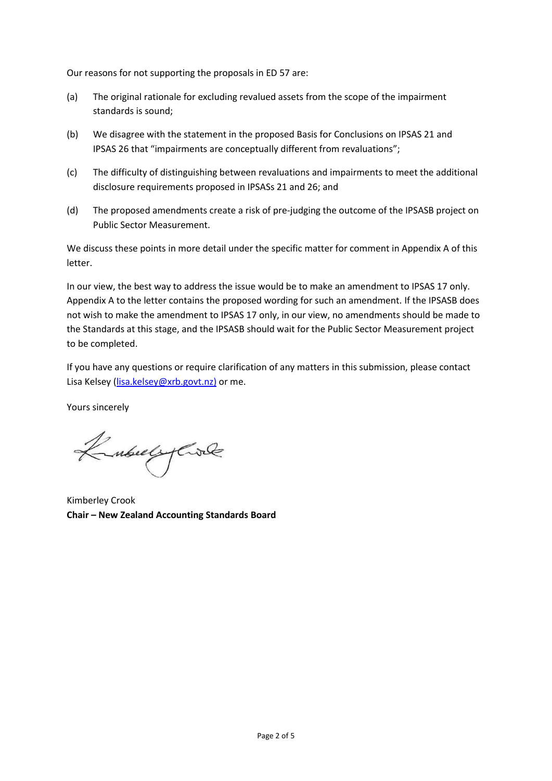Our reasons for not supporting the proposals in ED 57 are:

- (a) The original rationale for excluding revalued assets from the scope of the impairment standards is sound;
- (b) We disagree with the statement in the proposed Basis for Conclusions on IPSAS 21 and IPSAS 26 that "impairments are conceptually different from revaluations";
- (c) The difficulty of distinguishing between revaluations and impairments to meet the additional disclosure requirements proposed in IPSASs 21 and 26; and
- (d) The proposed amendments create a risk of pre-judging the outcome of the IPSASB project on Public Sector Measurement.

We discuss these points in more detail under the specific matter for comment in Appendix A of this letter.

In our view, the best way to address the issue would be to make an amendment to IPSAS 17 only. Appendix A to the letter contains the proposed wording for such an amendment. If the IPSASB does not wish to make the amendment to IPSAS 17 only, in our view, no amendments should be made to the Standards at this stage, and the IPSASB should wait for the Public Sector Measurement project to be completed.

If you have any questions or require clarification of any matters in this submission, please contact Lisa Kelsey [\(lisa.kelsey@xrb.govt.nz\)](mailto:lisa.kelsey@xrb.govt.nz)) or me.

Yours sincerely

Kubuly Civil

Kimberley Crook **Chair – New Zealand Accounting Standards Board**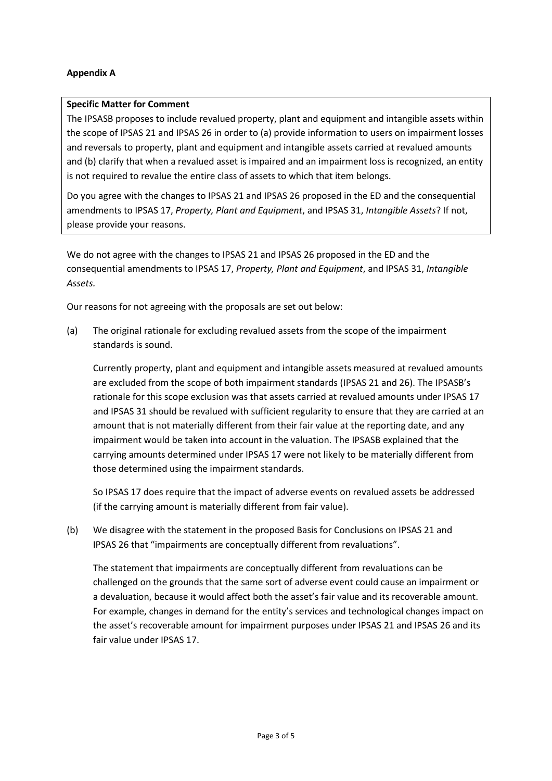## **Appendix A**

## **Specific Matter for Comment**

The IPSASB proposes to include revalued property, plant and equipment and intangible assets within the scope of IPSAS 21 and IPSAS 26 in order to (a) provide information to users on impairment losses and reversals to property, plant and equipment and intangible assets carried at revalued amounts and (b) clarify that when a revalued asset is impaired and an impairment loss is recognized, an entity is not required to revalue the entire class of assets to which that item belongs.

Do you agree with the changes to IPSAS 21 and IPSAS 26 proposed in the ED and the consequential amendments to IPSAS 17, *Property, Plant and Equipment*, and IPSAS 31, *Intangible Assets*? If not, please provide your reasons.

We do not agree with the changes to IPSAS 21 and IPSAS 26 proposed in the ED and the consequential amendments to IPSAS 17, *Property, Plant and Equipment*, and IPSAS 31, *Intangible Assets.*

Our reasons for not agreeing with the proposals are set out below:

(a) The original rationale for excluding revalued assets from the scope of the impairment standards is sound.

Currently property, plant and equipment and intangible assets measured at revalued amounts are excluded from the scope of both impairment standards (IPSAS 21 and 26). The IPSASB's rationale for this scope exclusion was that assets carried at revalued amounts under IPSAS 17 and IPSAS 31 should be revalued with sufficient regularity to ensure that they are carried at an amount that is not materially different from their fair value at the reporting date, and any impairment would be taken into account in the valuation. The IPSASB explained that the carrying amounts determined under IPSAS 17 were not likely to be materially different from those determined using the impairment standards.

So IPSAS 17 does require that the impact of adverse events on revalued assets be addressed (if the carrying amount is materially different from fair value).

(b) We disagree with the statement in the proposed Basis for Conclusions on IPSAS 21 and IPSAS 26 that "impairments are conceptually different from revaluations".

The statement that impairments are conceptually different from revaluations can be challenged on the grounds that the same sort of adverse event could cause an impairment or a devaluation, because it would affect both the asset's fair value and its recoverable amount. For example, changes in demand for the entity's services and technological changes impact on the asset's recoverable amount for impairment purposes under IPSAS 21 and IPSAS 26 and its fair value under IPSAS 17.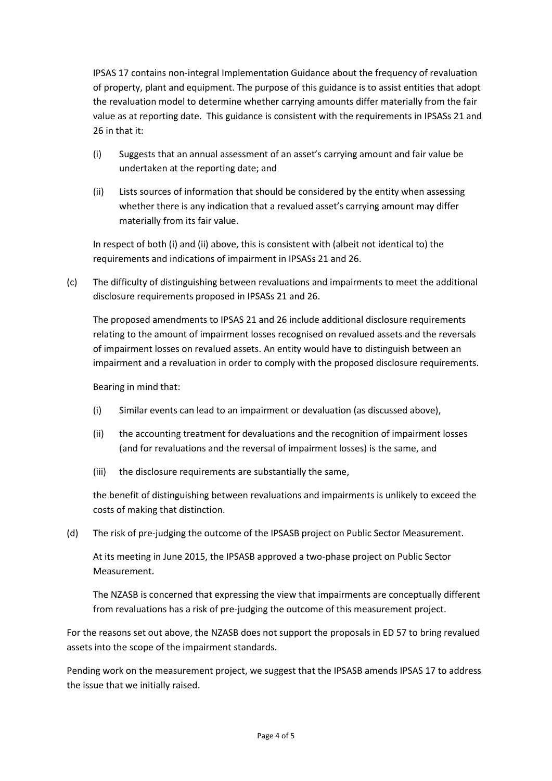IPSAS 17 contains non-integral Implementation Guidance about the frequency of revaluation of property, plant and equipment. The purpose of this guidance is to assist entities that adopt the revaluation model to determine whether carrying amounts differ materially from the fair value as at reporting date. This guidance is consistent with the requirements in IPSASs 21 and 26 in that it:

- (i) Suggests that an annual assessment of an asset's carrying amount and fair value be undertaken at the reporting date; and
- (ii) Lists sources of information that should be considered by the entity when assessing whether there is any indication that a revalued asset's carrying amount may differ materially from its fair value.

In respect of both (i) and (ii) above, this is consistent with (albeit not identical to) the requirements and indications of impairment in IPSASs 21 and 26.

(c) The difficulty of distinguishing between revaluations and impairments to meet the additional disclosure requirements proposed in IPSASs 21 and 26.

The proposed amendments to IPSAS 21 and 26 include additional disclosure requirements relating to the amount of impairment losses recognised on revalued assets and the reversals of impairment losses on revalued assets. An entity would have to distinguish between an impairment and a revaluation in order to comply with the proposed disclosure requirements.

Bearing in mind that:

- (i) Similar events can lead to an impairment or devaluation (as discussed above),
- (ii) the accounting treatment for devaluations and the recognition of impairment losses (and for revaluations and the reversal of impairment losses) is the same, and
- (iii) the disclosure requirements are substantially the same,

the benefit of distinguishing between revaluations and impairments is unlikely to exceed the costs of making that distinction.

(d) The risk of pre-judging the outcome of the IPSASB project on Public Sector Measurement.

At its meeting in June 2015, the IPSASB approved a two-phase project on Public Sector Measurement.

The NZASB is concerned that expressing the view that impairments are conceptually different from revaluations has a risk of pre-judging the outcome of this measurement project.

For the reasons set out above, the NZASB does not support the proposals in ED 57 to bring revalued assets into the scope of the impairment standards.

Pending work on the measurement project, we suggest that the IPSASB amends IPSAS 17 to address the issue that we initially raised.